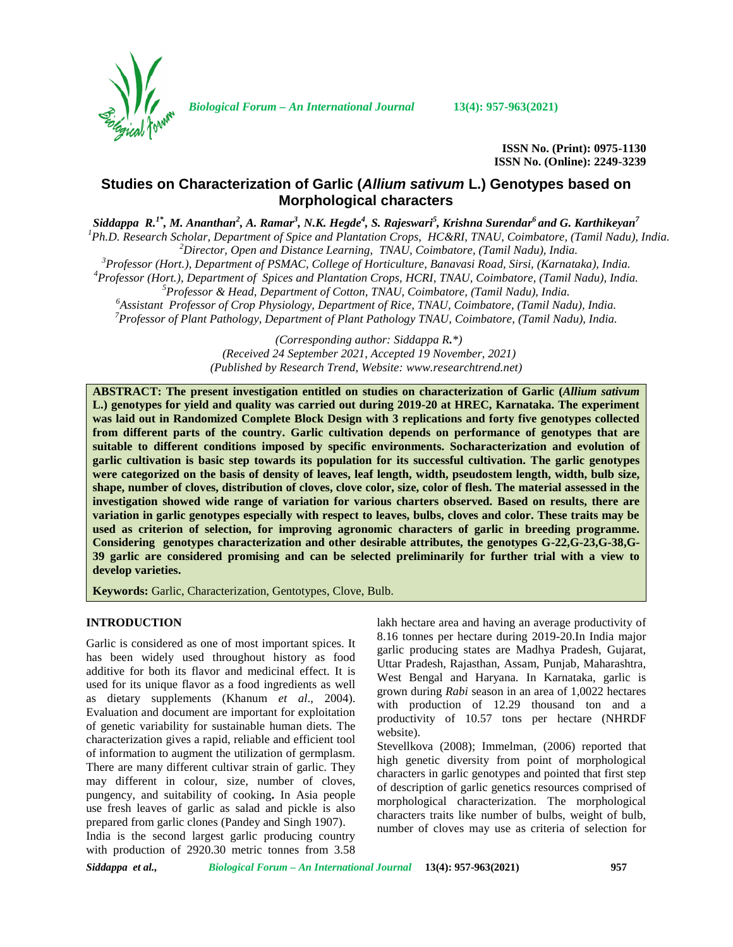

*Biological Forum – An International Journal* **13(4): 957-963(2021)**

**ISSN No. (Print): 0975-1130 ISSN No. (Online): 2249-3239**

# **Studies on Characterization of Garlic (***Allium sativum* **L.) Genotypes based on Morphological characters**

Siddappa R. $^{1*}$ , M. Ananthan $^2$ , A. Ramar $^3$ , N.K. Hegde $^4$ , S. Rajeswari $^5$ , Krishna Surendar $^6$  and G. Karthikeyan $^7$ 

<sup>1</sup>Ph.D. Research Scholar, Department of Spice and Plantation Crops, HC&RI, TNAU, Coimbatore, (Tamil Nadu), India.<br>
<sup>2</sup> Director, Open and Distance Learning, TNAU, Coimbatore, (Tamil Nadu), India.<br>
<sup>3</sup> Professor (Hort.),

*(Corresponding author: Siddappa R.\*) (Received 24 September 2021, Accepted 19 November, 2021) (Published by Research Trend, Website: [www.researchtrend.net\)](www.researchtrend.net)*

**ABSTRACT: The present investigation entitled on studies on characterization of Garlic (***Allium sativum* **L.) genotypes for yield and quality was carried out during 2019-20 at HREC, Karnataka. The experiment was laid out in Randomized Complete Block Design with 3 replications and forty five genotypes collected from different parts of the country. Garlic cultivation depends on performance of genotypes that are suitable to different conditions imposed by specific environments. Socharacterization and evolution of garlic cultivation is basic step towards its population for its successful cultivation. The garlic genotypes were categorized on the basis of density of leaves, leaf length, width, pseudostem length, width, bulb size, shape, number of cloves, distribution of cloves, clove color, size, color of flesh. The material assessed in the investigation showed wide range of variation for various charters observed. Based on results, there are variation in garlic genotypes especially with respect to leaves, bulbs, cloves and color. These traits may be used as criterion of selection, for improving agronomic characters of garlic in breeding programme. Considering genotypes characterization and other desirable attributes, the genotypes G-22,G-23,G-38,G- 39 garlic are considered promising and can be selected preliminarily for further trial with a view to develop varieties.**

**Keywords:** Garlic, Characterization, Gentotypes, Clove, Bulb.

### **INTRODUCTION**

Garlic is considered as one of most important spices. It has been widely used throughout history as food additive for both its flavor and medicinal effect. It is used for its unique flavor as a food ingredients as well as dietary supplements (Khanum *et al*.,2004). Evaluation and document are important for exploitation of genetic variability for sustainable human diets. The characterization gives a rapid, reliable and efficient tool of information to augment the utilization of germplasm. There are many different cultivar strain of garlic. They may different in colour, size, number of cloves, pungency, and suitability of cooking. In Asia people use fresh leaves of garlic as salad and pickle is also prepared from garlic clones (Pandey and Singh 1907).

India is the second largest garlic producing country with production of 2920.30 metric tonnes from 3.58 lakh hectare area and having an average productivity of 8.16 tonnes per hectare during 2019-20.In India major garlic producing states are Madhya Pradesh, Gujarat, Uttar Pradesh, Rajasthan, Assam, Punjab, Maharashtra, West Bengal and Haryana. In Karnataka, garlic is grown during *Rabi* season in an area of 1,0022 hectares with production of 12.29 thousand ton and a productivity of 10.57 tons per hectare (NHRDF website).

Stevellkova (2008); Immelman, (2006) reported that high genetic diversity from point of morphological characters in garlic genotypes and pointed that first step of description of garlic genetics resources comprised of morphological characterization. The morphological characters traits like number of bulbs, weight of bulb, number of cloves may use as criteria of selection for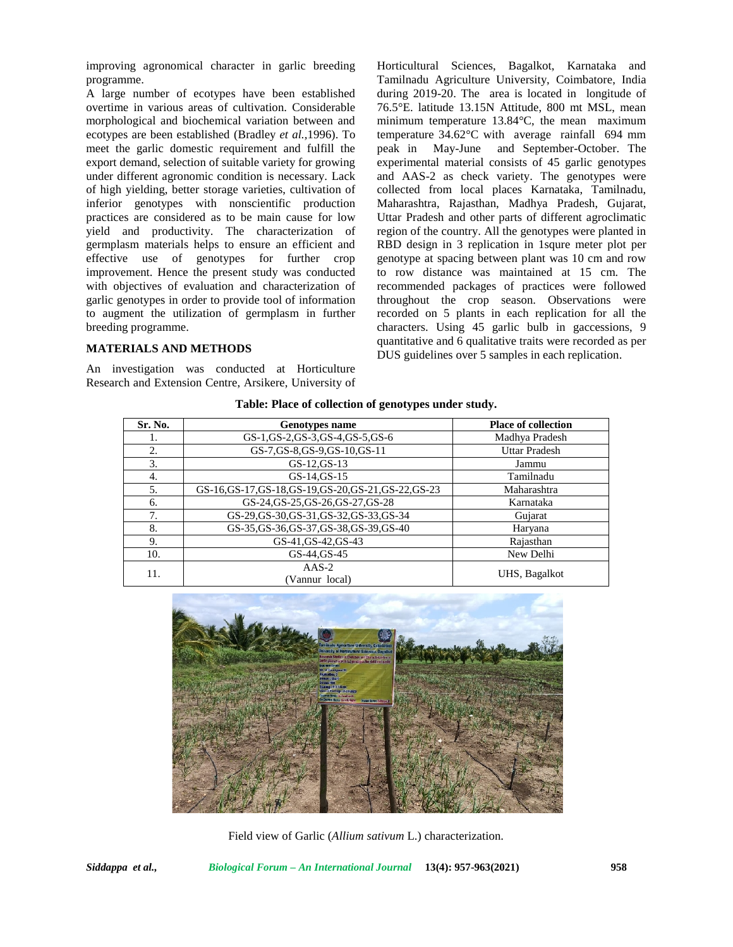improving agronomical character in garlic breeding programme.

A large number of ecotypes have been established overtime in various areas of cultivation. Considerable morphological and biochemical variation between and ecotypes are been established (Bradley *et al.,*1996). To meet the garlic domestic requirement and fulfill the export demand, selection of suitable variety for growing under different agronomic condition is necessary. Lack of high yielding, better storage varieties, cultivation of inferior genotypes with nonscientific production practices are considered as to be main cause for low yield and productivity. The characterization of germplasm materials helps to ensure an efficient and effective use of genotypes for further crop improvement. Hence the present study was conducted with objectives of evaluation and characterization of garlic genotypes in order to provide tool of information to augment the utilization of germplasm in further breeding programme.

### **MATERIALS AND METHODS**

An investigation was conducted at Horticulture Research and Extension Centre, Arsikere, University of Horticultural Sciences, Bagalkot, Karnataka and Tamilnadu Agriculture University, Coimbatore, India during 2019-20. The area is located in longitude of 76.5°E. latitude 13.15N Attitude, 800 mt MSL, mean minimum temperature 13.84°C, the mean maximum temperature 34.62°C with average rainfall 694 mm May-June and September-October. The experimental material consists of 45 garlic genotypes and AAS-2 as check variety. The genotypes were collected from local places Karnataka, Tamilnadu, Maharashtra, Rajasthan, Madhya Pradesh, Gujarat, Uttar Pradesh and other parts of different agroclimatic region of the country. All the genotypes were planted in RBD design in 3 replication in 1squre meter plot per genotype at spacing between plant was 10 cm and row to row distance was maintained at 15 cm. The recommended packages of practices were followed throughout the crop season. Observations were recorded on 5 plants in each replication for all the characters. Using 45 garlic bulb in gaccessions, 9 quantitative and 6 qualitative traits were recorded as per DUS guidelines over 5 samples in each replication.

|         | o                                                      |                            |
|---------|--------------------------------------------------------|----------------------------|
| Sr. No. | <b>Genotypes name</b>                                  | <b>Place of collection</b> |
| 1.      | GS-1, GS-2, GS-3, GS-4, GS-5, GS-6                     | Madhya Pradesh             |
| 2.      | GS-7, GS-8, GS-9, GS-10, GS-11                         | <b>Uttar Pradesh</b>       |
| 3.      | GS-12.GS-13                                            | Jammu                      |
| 4.      | $GS-14.GS-15$                                          | Tamilnadu                  |
| 5.      | GS-16, GS-17, GS-18, GS-19, GS-20, GS-21, GS-22, GS-23 | Maharashtra                |
| 6.      | GS-24, GS-25, GS-26, GS-27, GS-28                      | Karnataka                  |
| 7.      | GS-29, GS-30, GS-31, GS-32, GS-33, GS-34               | Gujarat                    |
| 8.      | GS-35, GS-36, GS-37, GS-38, GS-39, GS-40               | Haryana                    |
| 9.      | GS-41, GS-42, GS-43                                    | Rajasthan                  |
| 10.     | GS-44, GS-45                                           | New Delhi                  |
| 11.     | $AAS-2$<br>(Vannur local)                              | UHS, Bagalkot              |

**Table: Place of collection of genotypes under study.**



Field view of Garlic (*Allium sativum* L.) characterization.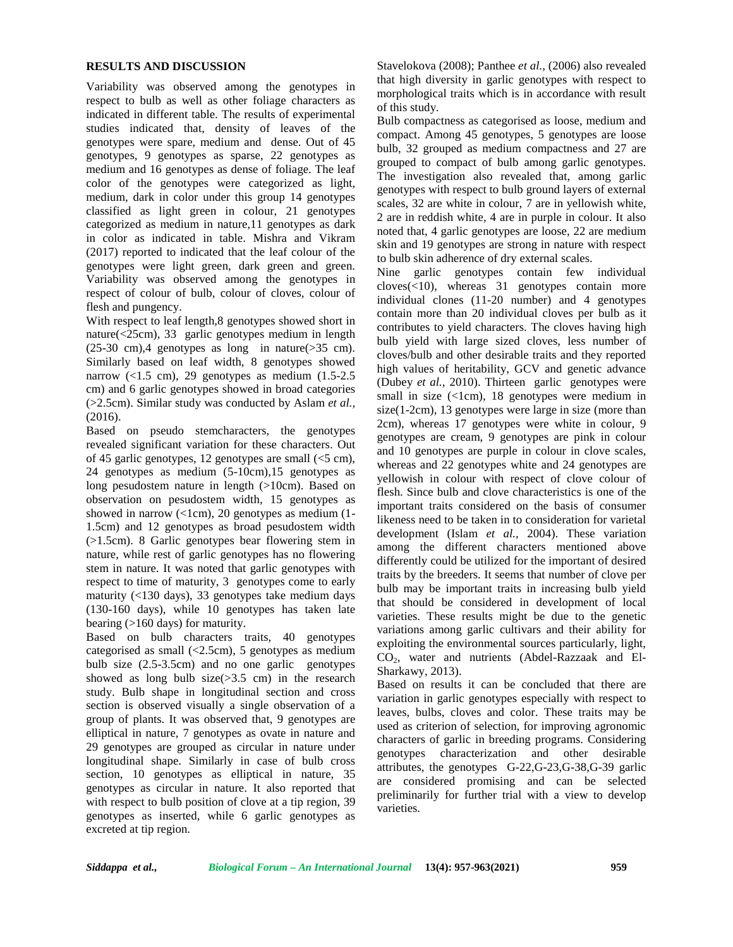### **RESULTS AND DISCUSSION**

Variability was observed among the genotypes in respect to bulb as well as other foliage characters as indicated in different table. The results of experimental studies indicated that, density of leaves of the genotypes were spare, medium and dense. Out of 45 genotypes, 9 genotypes as sparse, 22 genotypes as medium and 16 genotypes as dense of foliage. The leaf color of the genotypes were categorized as light, medium, dark in color under this group 14 genotypes classified as light green in colour, 21 genotypes categorized as medium in nature,11 genotypes as dark in color as indicated in table. Mishra and Vikram (2017) reported to indicated that the leaf colour of the genotypes were light green, dark green and green. Variability was observed among the genotypes in respect of colour of bulb, colour of cloves, colour of flesh and pungency.

With respect to leaf length,8 genotypes showed short in nature(<25cm), 33 garlic genotypes medium in length (25-30 cm),4 genotypes as long in nature(>35 cm). Similarly based on leaf width, 8 genotypes showed narrow  $(<1.5$  cm), 29 genotypes as medium  $(1.5-2.5)$ cm) and 6 garlic genotypes showed in broad categories (>2.5cm). Similar study was conducted by Aslam *et al.,* (2016).

Based on pseudo stemcharacters, the genotypes revealed significant variation for these characters. Out of 45 garlic genotypes, 12 genotypes are small  $(<5$  cm), 24 genotypes as medium (5-10cm),15 genotypes as long pesudostem nature in length (>10cm). Based on observation on pesudostem width, 15 genotypes as showed in narrow  $(<1cm)$ , 20 genotypes as medium (1-1.5cm) and 12 genotypes as broad pesudostem width (>1.5cm). 8 Garlic genotypes bear flowering stem in nature, while rest of garlic genotypes has no flowering stem in nature. It was noted that garlic genotypes with respect to time of maturity, 3 genotypes come to early maturity (<130 days), 33 genotypes take medium days (130-160 days), while 10 genotypes has taken late bearing (>160 days) for maturity.

Based on bulb characters traits, 40 genotypes categorised as small (<2.5cm), 5 genotypes as medium bulb size (2.5-3.5cm) and no one garlic genotypes showed as long bulb  $size(>3.5 \text{ cm})$  in the research study. Bulb shape in longitudinal section and cross section is observed visually a single observation of a group of plants. It was observed that, 9 genotypes are elliptical in nature, 7 genotypes as ovate in nature and 29 genotypes are grouped as circular in nature under longitudinal shape. Similarly in case of bulb cross section, 10 genotypes as elliptical in nature, 35 genotypes as circular in nature. It also reported that with respect to bulb position of clove at a tip region, 39 genotypes as inserted, while 6 garlic genotypes as excreted at tip region.

Stavelokova (2008); Panthee *et al.,* (2006) also revealed that high diversity in garlic genotypes with respect to morphological traits which is in accordance with result of this study.

Bulb compactness as categorised as loose, medium and compact. Among 45 genotypes, 5 genotypes are loose bulb, 32 grouped as medium compactness and 27 are grouped to compact of bulb among garlic genotypes. The investigation also revealed that, among garlic genotypes with respect to bulb ground layers of external scales, 32 are white in colour, 7 are in yellowish white, 2 are in reddish white, 4 are in purple in colour. It also noted that, 4 garlic genotypes are loose, 22 are medium skin and 19 genotypes are strong in nature with respect to bulb skin adherence of dry external scales.

Nine garlic genotypes contain few individual cloves(<10), whereas 31 genotypes contain more individual clones (11-20 number) and 4 genotypes contain more than 20 individual cloves per bulb as it contributes to yield characters. The cloves having high bulb yield with large sized cloves, less number of cloves/bulb and other desirable traits and they reported high values of heritability, GCV and genetic advance (Dubey *et al.,* 2010). Thirteen garlic genotypes were small in size  $(\langle 1cm \rangle, 18$  genotypes were medium in size(1-2cm), 13 genotypes were large in size (more than 2cm), whereas 17 genotypes were white in colour, 9 genotypes are cream, 9 genotypes are pink in colour and 10 genotypes are purple in colour in clove scales, whereas and 22 genotypes white and 24 genotypes are yellowish in colour with respect of clove colour of flesh. Since bulb and clove characteristics is one of the important traits considered on the basis of consumer likeness need to be taken in to consideration for varietal development (Islam *et al.,* 2004). These variation among the different characters mentioned above differently could be utilized for the important of desired traits by the breeders. It seems that number of clove per bulb may be important traits in increasing bulb yield that should be considered in development of local varieties. These results might be due to the genetic variations among garlic cultivars and their ability for exploiting the environmental sources particularly, light, CO2, water and nutrients (Abdel-Razzaak and El- Sharkawy, 2013).

Based on results it can be concluded that there are variation in garlic genotypes especially with respect to leaves, bulbs, cloves and color. These traits may be used as criterion of selection, for improving agronomic characters of garlic in breeding programs. Considering genotypes characterization and other desirable attributes, the genotypes G-22,G-23,G-38,G-39 garlic are considered promising and can be selected preliminarily for further trial with a view to develop varieties.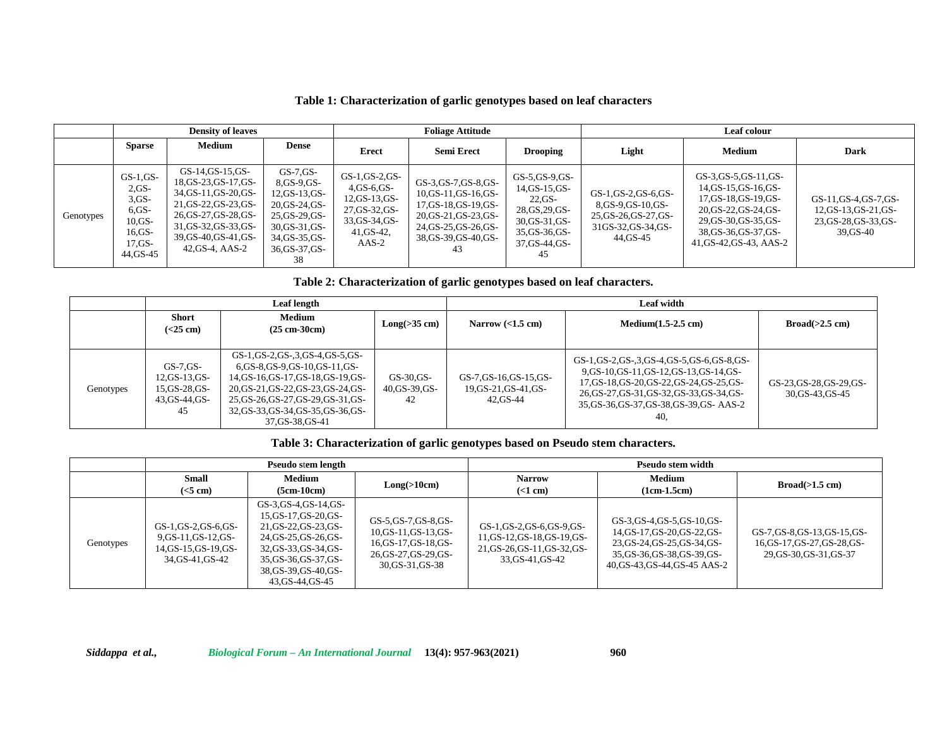|           |                                                                                              | <b>Density of leaves</b>                                                                                                                                                                 |                                                                                                                                                    |                                                                                                                    | <b>Foliage Attitude</b>                                                                                                                                 |                                                                                                                                        | Leaf colour                                                                                           |                                                                                                                                                                                |                                                                                       |  |
|-----------|----------------------------------------------------------------------------------------------|------------------------------------------------------------------------------------------------------------------------------------------------------------------------------------------|----------------------------------------------------------------------------------------------------------------------------------------------------|--------------------------------------------------------------------------------------------------------------------|---------------------------------------------------------------------------------------------------------------------------------------------------------|----------------------------------------------------------------------------------------------------------------------------------------|-------------------------------------------------------------------------------------------------------|--------------------------------------------------------------------------------------------------------------------------------------------------------------------------------|---------------------------------------------------------------------------------------|--|
|           | <b>Sparse</b>                                                                                | Medium                                                                                                                                                                                   | <b>Dense</b>                                                                                                                                       | Erect                                                                                                              | <b>Semi Erect</b>                                                                                                                                       | <b>Drooping</b>                                                                                                                        | Light                                                                                                 | Medium                                                                                                                                                                         | <b>Dark</b>                                                                           |  |
| Genotypes | $GS-1,GS-$<br>$2.GS-$<br>$3.GS-$<br>$6,GS-$<br>$10.GS-$<br>$16.GS-$<br>$17.GS-$<br>44, GS-45 | GS-14,GS-15,GS-<br>18, GS-23, GS-17, GS-<br>34, GS-11, GS-20, GS-<br>21, GS-22, GS-23, GS-<br>26, GS-27, GS-28, GS-<br>31, GS-32, GS-33, GS-<br>39, GS-40, GS-41, GS-<br>42, GS-4, AAS-2 | $GS$ -7. $GS$ -<br>8,GS-9,GS-<br>$12,GS-13,GS-$<br>20, GS-24, GS-<br>$25$ , GS-29, GS-<br>30, GS-31, GS-<br>34, GS-35, GS-<br>36, GS-37, GS-<br>38 | $GS-1,GS-2,GS-$<br>$4,GS-6,GS-$<br>$12, GS-13, GS-$<br>27, GS-32, GS-<br>33, GS-34, GS-<br>$41, GS-42,$<br>$AAS-2$ | GS-3, GS-7, GS-8, GS-<br>$10, GS-11, GS-16, GS-$<br>17, GS-18, GS-19, GS-<br>20, GS-21, GS-23, GS-<br>24, GS-25, GS-26, GS-<br>38,GS-39,GS-40,GS-<br>43 | $GS$ -5, $GS$ -9, $GS$ -<br>$14, GS-15, GS-$<br>$22.GS$ -<br>28, GS, 29, GS-<br>30, GS-31, GS-<br>35, GS-36, GS-<br>37,GS-44,GS-<br>45 | GS-1,GS-2,GS-6,GS-<br>8, GS-9, GS-10, GS-<br>25, GS-26, GS-27, GS-<br>31GS-32, GS-34, GS-<br>44,GS-45 | GS-3, GS-5, GS-11, GS-<br>14, GS-15, GS-16, GS-<br>17, GS-18, GS-19, GS-<br>20, GS-22, GS-24, GS-<br>29, GS-30, GS-35, GS-<br>38, GS-36, GS-37, GS-<br>41, GS-42, GS-43, AAS-2 | GS-11, GS-4, GS-7, GS-<br>12, GS-13, GS-21, GS-<br>23, GS-28, GS-33, GS-<br>39, GS-40 |  |

# **Table 1: Characterization of garlic genotypes based on leaf characters**

**Table 2: Characterization of garlic genotypes based on leaf characters.**

|           |                                                                             | <b>Leaf length</b>                                                                                                                                                                                                                        |                                     | Leaf width                                                   |                                                                                                                                                                                                                                     |                                              |  |  |
|-----------|-----------------------------------------------------------------------------|-------------------------------------------------------------------------------------------------------------------------------------------------------------------------------------------------------------------------------------------|-------------------------------------|--------------------------------------------------------------|-------------------------------------------------------------------------------------------------------------------------------------------------------------------------------------------------------------------------------------|----------------------------------------------|--|--|
|           | <b>Short</b><br>$(<25$ cm $)$                                               | Medium<br>$(25 \text{ cm}-30 \text{ cm})$                                                                                                                                                                                                 | $Long(\geq 35 \text{ cm})$          | Narrow $(<1.5$ cm)                                           | $Median(1.5-2.5$ cm)                                                                                                                                                                                                                | Broad(>2.5 cm)                               |  |  |
| Genotypes | $GS$ -7. $GS$ -<br>$12, GS-13, GS-$<br>15, GS-28, GS-<br>43.GS-44.GS-<br>45 | GS-1,GS-2,GS-3,GS-4,GS-5,GS-<br>6.GS-8.GS-9.GS-10.GS-11.GS-<br>14, GS-16, GS-17, GS-18, GS-19, GS-<br>20, GS-21, GS-22, GS-23, GS-24, GS-<br>25, GS-26, GS-27, GS-29, GS-31, GS-<br>32, GS-33, GS-34, GS-35, GS-36, GS-<br>37.GS-38.GS-41 | $GS-30.GS-$<br>40, GS-39, GS-<br>42 | GS-7, GS-16, GS-15, GS-<br>19, GS-21, GS-41, GS-<br>42.GS-44 | GS-1, GS-2, GS-3, GS-4, GS-5, GS-6, GS-8, GS-<br>9.GS-10.GS-11.GS-12.GS-13.GS-14.GS-<br>17, GS-18, GS-20, GS-22, GS-24, GS-25, GS-<br>26, GS-27, GS-31, GS-32, GS-33, GS-34, GS-<br>35, GS-36, GS-37, GS-38, GS-39, GS-AAS-2<br>40, | GS-23, GS-28, GS-29, GS-<br>30, GS-43, GS-45 |  |  |

# **Table 3: Characterization of garlic genotypes based on Pseudo stem characters.**

|           |                                                                                      | Pseudo stem length                                                                                                                                                                             |                                                                                                                      | Pseudo stem width                                                                                       |                                                                                                                                                               |                                                                                          |  |
|-----------|--------------------------------------------------------------------------------------|------------------------------------------------------------------------------------------------------------------------------------------------------------------------------------------------|----------------------------------------------------------------------------------------------------------------------|---------------------------------------------------------------------------------------------------------|---------------------------------------------------------------------------------------------------------------------------------------------------------------|------------------------------------------------------------------------------------------|--|
|           | <b>Small</b><br>$(<5$ cm)                                                            | Medium<br>$(5cm-10cm)$                                                                                                                                                                         | Long( >10cm)                                                                                                         | <b>Narrow</b><br>$(<1$ cm)                                                                              | Medium<br>$(1cm-1.5cm)$                                                                                                                                       | Broad(>1.5 cm)                                                                           |  |
| Genotypes | GS-1,GS-2,GS-6,GS-<br>$9,GS-11,GS-12,GS-$<br>14, GS-15, GS-19, GS-<br>34.GS-41.GS-42 | GS-3, GS-4, GS-14, GS-<br>15, GS-17, GS-20, GS-<br>21, GS-22, GS-23, GS-<br>24, GS-25, GS-26, GS-<br>32, GS-33, GS-34, GS-<br>35, GS-36, GS-37, GS-<br>38, GS-39, GS-40, GS-<br>43.GS-44.GS-45 | GS-5, GS-7, GS-8, GS-<br>10, GS-11, GS-13, GS-<br>16, GS-17, GS-18, GS-<br>26, GS-27, GS-29, GS-<br>30, GS-31, GS-38 | GS-1,GS-2,GS-6,GS-9,GS-<br>11,GS-12,GS-18,GS-19,GS-<br>21, GS-26, GS-11, GS-32, GS-<br>33, GS-41, GS-42 | GS-3, GS-4, GS-5, GS-10, GS-<br>14, GS-17, GS-20, GS-22, GS-<br>23, GS-24, GS-25, GS-34, GS-<br>35, GS-36, GS-38, GS-39, GS-<br>40, GS-43, GS-44, GS-45 AAS-2 | GS-7, GS-8, GS-13, GS-15, GS-<br>16, GS-17, GS-27, GS-28, GS-<br>29, GS-30, GS-31, GS-37 |  |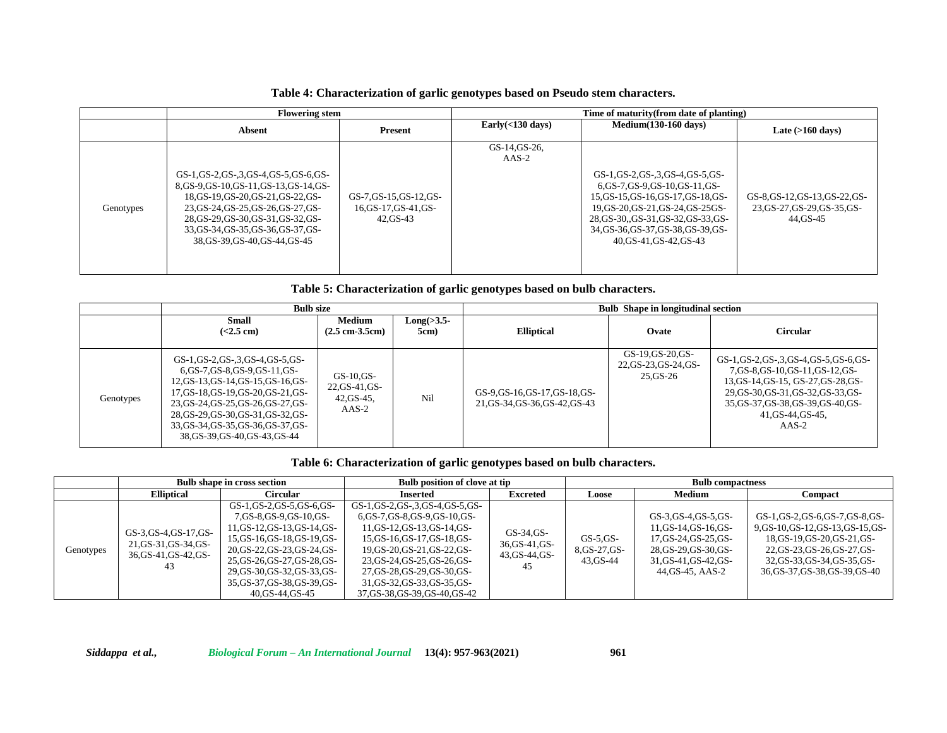### **Table 4: Characterization of garlic genotypes based on Pseudo stem characters.**

|           | <b>Flowering stem</b>                                                                                                                                                                                                                                             |                                                              | Time of maturity (from date of planting) |                                                                                                                                                                                                                                                    |                                                                            |  |  |
|-----------|-------------------------------------------------------------------------------------------------------------------------------------------------------------------------------------------------------------------------------------------------------------------|--------------------------------------------------------------|------------------------------------------|----------------------------------------------------------------------------------------------------------------------------------------------------------------------------------------------------------------------------------------------------|----------------------------------------------------------------------------|--|--|
|           | Absent                                                                                                                                                                                                                                                            | Present                                                      | Early $(<$ 130 days)                     | $Median(130-160 \text{ days})$                                                                                                                                                                                                                     | Late $(>160 \text{ days})$                                                 |  |  |
| Genotypes | GS-1,GS-2,GS-3,GS-4,GS-5,GS-6,GS-<br>8.GS-9.GS-10.GS-11.GS-13.GS-14.GS-<br>18, GS-19, GS-20, GS-21, GS-22, GS-<br>23, GS-24, GS-25, GS-26, GS-27, GS-<br>28, GS-29, GS-30, GS-31, GS-32, GS-<br>33, GS-34, GS-35, GS-36, GS-37, GS-<br>38.GS-39.GS-40.GS-44.GS-45 | GS-7, GS-15, GS-12, GS-<br>16, GS-17, GS-41, GS-<br>42.GS-43 | GS-14, GS-26,<br>$AAS-2$                 | GS-1,GS-2,GS-3,GS-4,GS-5,GS-<br>6, GS-7, GS-9, GS-10, GS-11, GS-<br>15, GS-15, GS-16, GS-17, GS-18, GS-<br>19, GS-20, GS-21, GS-24, GS-25GS-<br>28, GS-30, GS-31, GS-32, GS-33, GS-<br>34, GS-36, GS-37, GS-38, GS-39, GS-<br>40.GS-41.GS-42.GS-43 | GS-8, GS-12, GS-13, GS-22, GS-<br>23, GS-27, GS-29, GS-35, GS-<br>44.GS-45 |  |  |

**Table 5: Characterization of garlic genotypes based on bulb characters.**

|           | <b>Bulb size</b>                                                                                                                                                                                                                                                                                |                                                             |                          |                                                                  | <b>Bulb</b> Shape in longitudinal section               |                                                                                                                                                                                                                         |
|-----------|-------------------------------------------------------------------------------------------------------------------------------------------------------------------------------------------------------------------------------------------------------------------------------------------------|-------------------------------------------------------------|--------------------------|------------------------------------------------------------------|---------------------------------------------------------|-------------------------------------------------------------------------------------------------------------------------------------------------------------------------------------------------------------------------|
|           | <b>Small</b><br>( <b>2.5</b> cm)                                                                                                                                                                                                                                                                | Medium<br>$(2.5 \text{ cm} \cdot 3.5 \text{ cm})$           | $Long(\geq3.5-)$<br>5cm) | <b>Elliptical</b>                                                | Ovate                                                   | <b>Circular</b>                                                                                                                                                                                                         |
| Genotypes | GS-1, GS-2, GS-3, GS-4, GS-5, GS-<br>6,GS-7,GS-8,GS-9,GS-11,GS-<br>12, GS-13, GS-14, GS-15, GS-16, GS-<br>17,GS-18,GS-19,GS-20,GS-21,GS-<br>23, GS-24, GS-25, GS-26, GS-27, GS-<br>28, GS-29, GS-30, GS-31, GS-32, GS-<br>33, GS-34, GS-35, GS-36, GS-37, GS-<br>38, GS-39, GS-40, GS-43, GS-44 | $GS-10$ , $GS-$<br>22, GS-41, GS-<br>$42,GS-45,$<br>$AAS-2$ | Nil                      | GS-9, GS-16, GS-17, GS-18, GS-<br>21, GS-34, GS-36, GS-42, GS-43 | GS-19, GS-20, GS-<br>22, GS-23, GS-24, GS-<br>25, GS-26 | GS-1, GS-2, GS-3, GS-4, GS-5, GS-6, GS-<br>7.GS-8.GS-10.GS-11.GS-12.GS-<br>13, GS-14, GS-15, GS-27, GS-28, GS-<br>29.GS-30.GS-31.GS-32.GS-33.GS-<br>35, GS-37, GS-38, GS-39, GS-40, GS-<br>41, GS-44, GS-45,<br>$AAS-2$ |

### **Table 6: Characterization of garlic genotypes based on bulb characters.**

|           | <b>Bulb shape in cross section</b>                                             |                                                                                                                                                                                                                                                                    | <b>Bulb position of clove at tip</b>                                                                                                                                                                                                                                                          | <b>Bulb compactness</b>                             |                                          |                                                                                                                                               |                                                                                                                                                                                                 |
|-----------|--------------------------------------------------------------------------------|--------------------------------------------------------------------------------------------------------------------------------------------------------------------------------------------------------------------------------------------------------------------|-----------------------------------------------------------------------------------------------------------------------------------------------------------------------------------------------------------------------------------------------------------------------------------------------|-----------------------------------------------------|------------------------------------------|-----------------------------------------------------------------------------------------------------------------------------------------------|-------------------------------------------------------------------------------------------------------------------------------------------------------------------------------------------------|
|           | <b>Elliptical</b>                                                              | Circular                                                                                                                                                                                                                                                           | Inserted                                                                                                                                                                                                                                                                                      | <b>Excreted</b>                                     | Loose                                    | Medium                                                                                                                                        | Compact                                                                                                                                                                                         |
| Genotypes | GS-3, GS-4, GS-17, GS-<br>21, GS-31, GS-34, GS-<br>36, GS-41, GS-42, GS-<br>43 | GS-1,GS-2,GS-5,GS-6,GS-<br>7, GS-8, GS-9, GS-10, GS-<br>11, GS-12, GS-13, GS-14, GS-<br>15, GS-16, GS-18, GS-19, GS-<br>20, GS-22, GS-23, GS-24, GS-<br>25,GS-26,GS-27,GS-28,GS-<br>29, GS-30, GS-32, GS-33, GS-<br>35, GS-37, GS-38, GS-39, GS-<br>40.GS-44.GS-45 | GS-1,GS-2,GS-,3,GS-4,GS-5,GS-<br>6,GS-7,GS-8,GS-9,GS-10,GS-<br>11, GS-12, GS-13, GS-14, GS-<br>15, GS-16, GS-17, GS-18, GS-<br>19, GS-20, GS-21, GS-22, GS-<br>23, GS-24, GS-25, GS-26, GS-<br>27, GS-28, GS-29, GS-30, GS-<br>31, GS-32, GS-33, GS-35, GS-<br>37, GS-38, GS-39, GS-40, GS-42 | GS-34.GS-<br>36, GS-41, GS-<br>43, GS-44, GS-<br>45 | $GS-5,GS-$<br>8, GS-27, GS-<br>43, GS-44 | GS-3, GS-4, GS-5, GS-<br>11, GS-14, GS-16, GS-<br>17, GS-24, GS-25, GS-<br>28, GS-29, GS-30, GS-<br>31, GS-41, GS-42, GS-<br>44, GS-45, AAS-2 | GS-1,GS-2,GS-6,GS-7,GS-8,GS-<br>9.GS-10.GS-12.GS-13.GS-15.GS-<br>18, GS-19, GS-20, GS-21, GS-<br>22, GS-23, GS-26, GS-27, GS-<br>32, GS-33, GS-34, GS-35, GS-<br>36, GS-37, GS-38, GS-39, GS-40 |

*Siddappa et al., Biological Forum – An International Journal* **13(4): 957-963(2021) 961**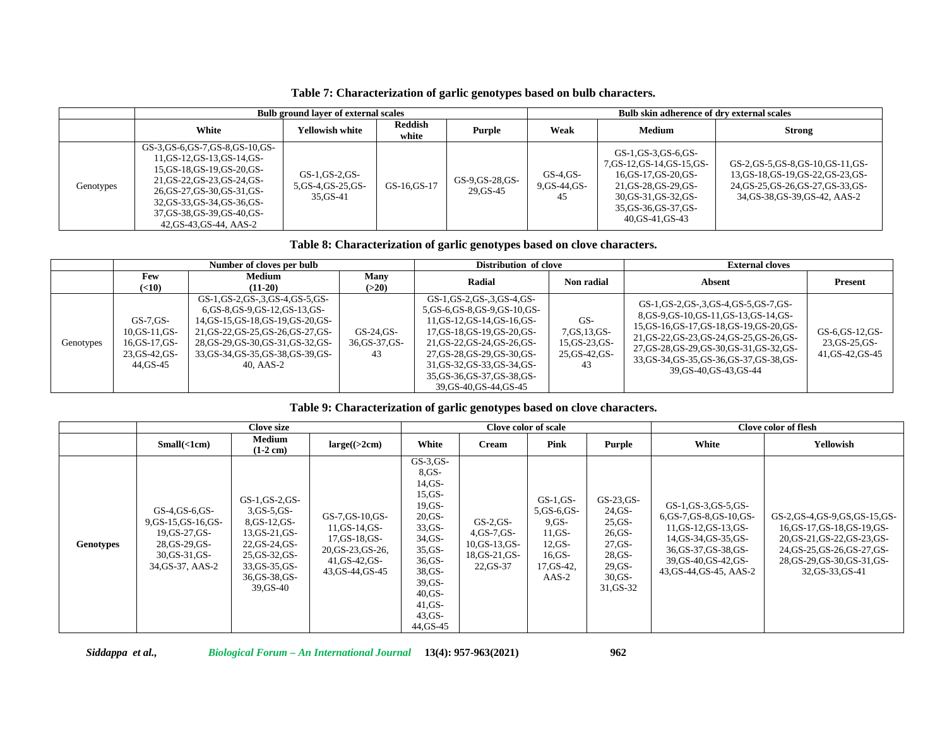**Table 7: Characterization of garlic genotypes based on bulb characters.**

|           | <b>Bulb ground layer of external scales</b>                                                                                                                                                                                                        |                                                     |                  |                              |                                     | Bulb skin adherence of dry external scales                                                                                                                              |                                                                                                                                                     |  |  |
|-----------|----------------------------------------------------------------------------------------------------------------------------------------------------------------------------------------------------------------------------------------------------|-----------------------------------------------------|------------------|------------------------------|-------------------------------------|-------------------------------------------------------------------------------------------------------------------------------------------------------------------------|-----------------------------------------------------------------------------------------------------------------------------------------------------|--|--|
|           | White                                                                                                                                                                                                                                              | <b>Yellowish white</b>                              | Reddish<br>white | Purple                       | Weak                                | Medium                                                                                                                                                                  | <b>Strong</b>                                                                                                                                       |  |  |
| Genotypes | GS-3.GS-6.GS-7.GS-8.GS-10.GS-<br>11.GS-12.GS-13.GS-14.GS-<br>15, GS-18, GS-19, GS-20, GS-<br>21, GS-22, GS-23, GS-24, GS-<br>26, GS-27, GS-30, GS-31, GS-<br>32, GS-33, GS-34, GS-36, GS-<br>37, GS-38, GS-39, GS-40, GS-<br>42.GS-43.GS-44. AAS-2 | GS-1, GS-2, GS-<br>5, GS-4, GS-25, GS-<br>35, GS-41 | GS-16.GS-17      | GS-9, GS-28, GS-<br>29.GS-45 | $GS-4$ , $GS-$<br>9.GS-44.GS-<br>45 | GS-1,GS-3,GS-6,GS-<br>7, GS-12, GS-14, GS-15, GS-<br>16, GS-17, GS-20, GS-<br>21, GS-28, GS-29, GS-<br>30, GS-31, GS-32, GS-<br>35, GS-36, GS-37, GS-<br>40.GS-41.GS-43 | GS-2, GS-5, GS-8, GS-10, GS-11, GS-<br>13, GS-18, GS-19, GS-22, GS-23, GS-<br>24, GS-25, GS-26, GS-27, GS-33, GS-<br>34, GS-38, GS-39, GS-42, AAS-2 |  |  |

**Table 8: Characterization of garlic genotypes based on clove characters.**

|           | Number of cloves per bulb                                                           |                                                                                                                                                                                                                                                |                                     | Distribution of clove                                                                                                                                                                                                                                                            |                                                                     | <b>External cloves</b>                                                                                                                                                                                                                                                                     |                                                        |  |
|-----------|-------------------------------------------------------------------------------------|------------------------------------------------------------------------------------------------------------------------------------------------------------------------------------------------------------------------------------------------|-------------------------------------|----------------------------------------------------------------------------------------------------------------------------------------------------------------------------------------------------------------------------------------------------------------------------------|---------------------------------------------------------------------|--------------------------------------------------------------------------------------------------------------------------------------------------------------------------------------------------------------------------------------------------------------------------------------------|--------------------------------------------------------|--|
|           | Few<br>(10)                                                                         | <b>Medium</b><br>$(11-20)$                                                                                                                                                                                                                     | Many<br>(>20)                       | Radial                                                                                                                                                                                                                                                                           | Non radial                                                          | Absent                                                                                                                                                                                                                                                                                     | Present                                                |  |
| Genotypes | $GS$ -7. $GS$ -<br>$10, GS-11, GS-$<br>16, GS-17, GS-<br>23, GS-42, GS-<br>44.GS-45 | GS-1, GS-2, GS-3, GS-4, GS-5, GS-<br>6, GS-8, GS-9, GS-12, GS-13, GS-<br>14, GS-15, GS-18, GS-19, GS-20, GS-<br>21, GS-22, GS-25, GS-26, GS-27, GS-<br>28, GS-29, GS-30, GS-31, GS-32, GS-<br>33, GS-34, GS-35, GS-38, GS-39, GS-<br>40. AAS-2 | $GS-24.GS-$<br>36, GS-37, GS-<br>43 | GS-1, GS-2, GS-3, GS-4, GS-<br>5,GS-6,GS-8,GS-9,GS-10,GS-<br>11,GS-12,GS-14,GS-16,GS-<br>17, GS-18, GS-19, GS-20, GS-<br>21, GS-22, GS-24, GS-26, GS-<br>27, GS-28, GS-29, GS-30, GS-<br>31, GS-32, GS-33, GS-34, GS-<br>35, GS-36, GS-37, GS-38, GS-<br>39, GS-40, GS-44, GS-45 | $GS-$<br>7, GS, 13, GS-<br>$15, GS-23, GS-$<br>25, GS-42, GS-<br>43 | GS-1,GS-2,GS-3,GS-4,GS-5,GS-7,GS-<br>8.GS-9.GS-10.GS-11.GS-13.GS-14.GS-<br>15, GS-16, GS-17, GS-18, GS-19, GS-20, GS-<br>21, GS-22, GS-23, GS-24, GS-25, GS-26, GS-<br>27, GS-28, GS-29, GS-30, GS-31, GS-32, GS-<br>33, GS-34, GS-35, GS-36, GS-37, GS-38, GS-<br>39, GS-40, GS-43, GS-44 | GS-6, GS-12, GS-<br>23, GS-25, GS-<br>41, GS-42, GS-45 |  |

# **Table 9: Characterization of garlic genotypes based on clove characters.**

|           |                                                                                                                 | Clove size                                                                                                                                                        |                                                                                                                   |                                                                                                                                                                                                   | <b>Clove color of scale</b>                                                      |                                                                                                          |                                                                                                               | Clove color of flesh                                                                                                                                                                         |                                                                                                                                                                                      |  |
|-----------|-----------------------------------------------------------------------------------------------------------------|-------------------------------------------------------------------------------------------------------------------------------------------------------------------|-------------------------------------------------------------------------------------------------------------------|---------------------------------------------------------------------------------------------------------------------------------------------------------------------------------------------------|----------------------------------------------------------------------------------|----------------------------------------------------------------------------------------------------------|---------------------------------------------------------------------------------------------------------------|----------------------------------------------------------------------------------------------------------------------------------------------------------------------------------------------|--------------------------------------------------------------------------------------------------------------------------------------------------------------------------------------|--|
|           | Small(<1cm)                                                                                                     | Medium<br>$(1-2$ cm $)$                                                                                                                                           | $large(\geq2cm)$                                                                                                  | White                                                                                                                                                                                             | <b>Cream</b>                                                                     | Pink                                                                                                     | Purple                                                                                                        | White                                                                                                                                                                                        | Yellowish                                                                                                                                                                            |  |
| Genotypes | $GS-4.GS-6.GS-$<br>9, GS-15, GS-16, GS-<br>19.GS-27.GS-<br>28, GS-29, GS-<br>30, GS-31, GS-<br>34, GS-37, AAS-2 | $GS-1$ , $GS-2$ , $GS-$<br>$3,GS-5,GS-$<br>8, GS-12, GS-<br>$13, GS-21, GS-$<br>22, GS-24, GS-<br>25, GS-32, GS-<br>33, GS-35, GS-<br>36, GS-38, GS-<br>39, GS-40 | GS-7, GS-10, GS-<br>$11, GS-14, GS-$<br>17, GS-18, GS-<br>20, GS-23, GS-26,<br>41, GS-42, GS-<br>43, GS-44, GS-45 | $GS-3.GS-$<br>$8.GS-$<br>$14.GS-$<br>$15,GS-$<br>$19.GS-$<br>$20,GS-$<br>$33,GS$ -<br>34.GS-<br>$35,GS$ -<br>$36,GS$ -<br>38, GS-<br>$39,GS$ -<br>$40.GS$ -<br>$41.GS$ -<br>$43.GS$ -<br>44.GS-45 | $GS-2,GS-$<br>$4$ , GS-7, GS-<br>10, GS-13, GS-<br>$18, GS-21, GS-$<br>22, GS-37 | $GS-1$ , $GS-$<br>5, GS-6, GS-<br>$9.GS -$<br>$11.GS$ -<br>$12.GS-$<br>$16.GS-$<br>17, GS-42,<br>$AAS-2$ | $GS-23.GS-$<br>24, GS-<br>25,GS<br>$26.GS$ -<br>$27.GS$ -<br>$28,GS$ -<br>$29,GS$ -<br>$30.GS$ -<br>31, GS-32 | $GS-1$ , $GS-3$ , $GS-5$ , $GS-$<br>6, GS-7, GS-8, GS-10, GS-<br>11, GS-12, GS-13, GS-<br>14, GS-34, GS-35, GS-<br>36, GS-37, GS-38, GS-<br>39, GS-40, GS-42, GS-<br>43, GS-44, GS-45, AAS-2 | GS-2, GS-4, GS-9, GS, GS-15, GS-<br>16, GS-17, GS-18, GS-19, GS-<br>20, GS-21, GS-22, GS-23, GS-<br>24, GS-25, GS-26, GS-27, GS-<br>28, GS-29, GS-30, GS-31, GS-<br>32, GS-33, GS-41 |  |

*Siddappa et al., Biological Forum – An International Journal* **13(4): 957-963(2021) 962**